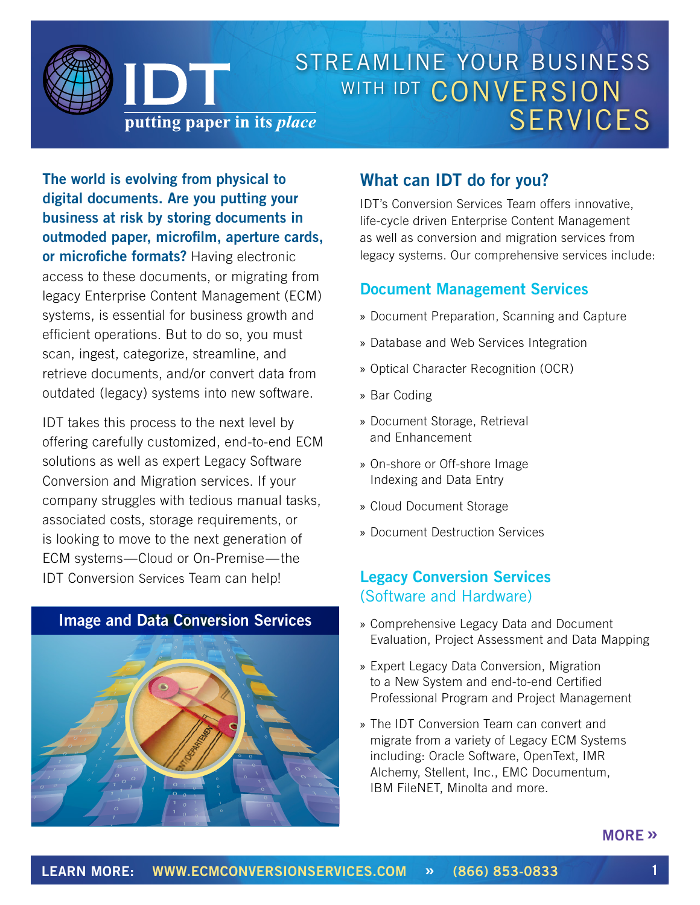

**The world is evolving from physical to digital documents. Are you putting your business at risk by storing documents in outmoded paper, microfilm, aperture cards, or microfiche formats?** Having electronic access to these documents, or migrating from legacy Enterprise Content Management (ECM) systems, is essential for business growth and efficient operations. But to do so, you must scan, ingest, categorize, streamline, and retrieve documents, and/or convert data from outdated (legacy) systems into new software.

IDT takes this process to the next level by offering carefully customized, end-to-end ECM solutions as well as expert Legacy Software Conversion and Migration services. If your company struggles with tedious manual tasks, associated costs, storage requirements, or is looking to move to the next generation of ECM systems—Cloud or On-Premise—the IDT Conversion Services Team can help!

0



## **What can IDT do for you?**

IDT's Conversion Services Team offers innovative, life-cycle driven Enterprise Content Management as well as conversion and migration services from legacy systems. Our comprehensive services include:

#### **Document Management Services**

- » Document Preparation, Scanning and Capture
- » Database and Web Services Integration
- » Optical Character Recognition (OCR)
- » Bar Coding
- » Document Storage, Retrieval and Enhancement
- » On-shore or Off-shore Image Indexing and Data Entry
- » Cloud Document Storage
- » Document Destruction Services

### **Legacy Conversion Services**  (Software and Hardware)

- » Comprehensive Legacy Data and Document Evaluation, Project Assessment and Data Mapping
- » Expert Legacy Data Conversion, Migration to a New System and end-to-end Certified Professional Program and Project Management
- » The IDT Conversion Team can convert and migrate from a variety of Legacy ECM Systems including: Oracle Software, OpenText, IMR Alchemy, Stellent, Inc., EMC Documentum, IBM FileNET, Minolta and more.

#### **[MORE](#page-1-0) »**